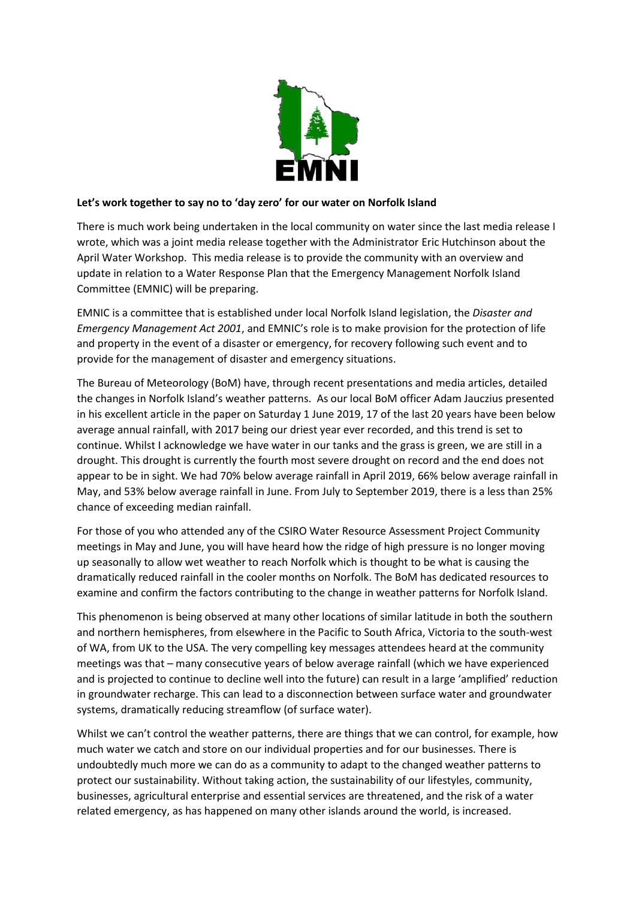

## **Let's work together to say no to 'day zero' for our water on Norfolk Island**

There is much work being undertaken in the local community on water since the last media release I wrote, which was a joint media release together with the Administrator Eric Hutchinson about the April Water Workshop. This media release is to provide the community with an overview and update in relation to a Water Response Plan that the Emergency Management Norfolk Island Committee (EMNIC) will be preparing.

EMNIC is a committee that is established under local Norfolk Island legislation, the *Disaster and Emergency Management Act 2001*, and EMNIC's role is to make provision for the protection of life and property in the event of a disaster or emergency, for recovery following such event and to provide for the management of disaster and emergency situations.

The Bureau of Meteorology (BoM) have, through recent presentations and media articles, detailed the changes in Norfolk Island's weather patterns. As our local BoM officer Adam Jauczius presented in his excellent article in the paper on Saturday 1 June 2019, 17 of the last 20 years have been below average annual rainfall, with 2017 being our driest year ever recorded, and this trend is set to continue. Whilst I acknowledge we have water in our tanks and the grass is green, we are still in a drought. This drought is currently the fourth most severe drought on record and the end does not appear to be in sight. We had 70% below average rainfall in April 2019, 66% below average rainfall in May, and 53% below average rainfall in June. From July to September 2019, there is a less than 25% chance of exceeding median rainfall.

For those of you who attended any of the CSIRO Water Resource Assessment Project Community meetings in May and June, you will have heard how the ridge of high pressure is no longer moving up seasonally to allow wet weather to reach Norfolk which is thought to be what is causing the dramatically reduced rainfall in the cooler months on Norfolk. The BoM has dedicated resources to examine and confirm the factors contributing to the change in weather patterns for Norfolk Island.

This phenomenon is being observed at many other locations of similar latitude in both the southern and northern hemispheres, from elsewhere in the Pacific to South Africa, Victoria to the south-west of WA, from UK to the USA. The very compelling key messages attendees heard at the community meetings was that – many consecutive years of below average rainfall (which we have experienced and is projected to continue to decline well into the future) can result in a large 'amplified' reduction in groundwater recharge. This can lead to a disconnection between surface water and groundwater systems, dramatically reducing streamflow (of surface water).

Whilst we can't control the weather patterns, there are things that we can control, for example, how much water we catch and store on our individual properties and for our businesses. There is undoubtedly much more we can do as a community to adapt to the changed weather patterns to protect our sustainability. Without taking action, the sustainability of our lifestyles, community, businesses, agricultural enterprise and essential services are threatened, and the risk of a water related emergency, as has happened on many other islands around the world, is increased.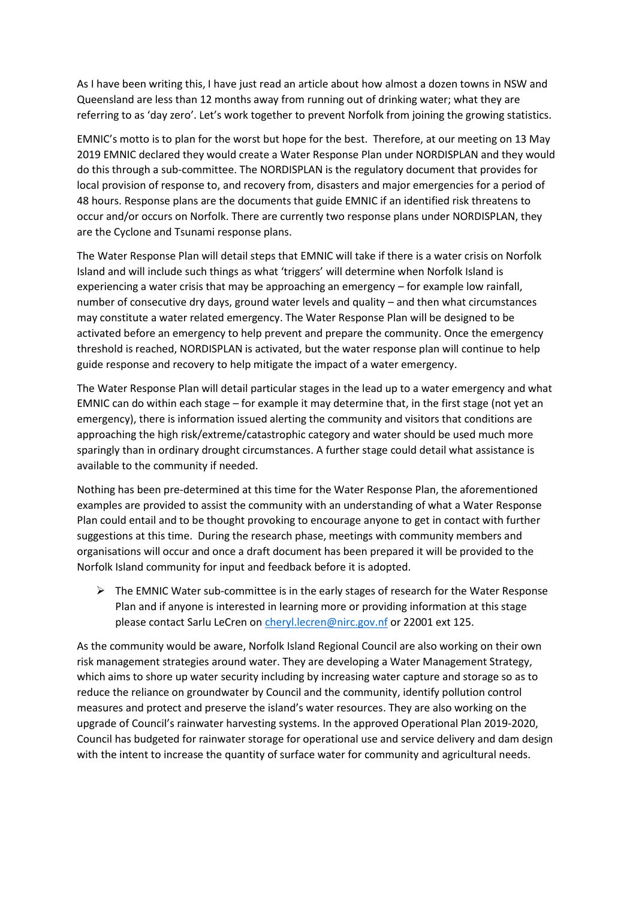As I have been writing this, I have just read an article about how almost a dozen towns in NSW and Queensland are less than 12 months away from running out of drinking water; what they are referring to as 'day zero'. Let's work together to prevent Norfolk from joining the growing statistics.

EMNIC's motto is to plan for the worst but hope for the best. Therefore, at our meeting on 13 May 2019 EMNIC declared they would create a Water Response Plan under NORDISPLAN and they would do this through a sub-committee. The NORDISPLAN is the regulatory document that provides for local provision of response to, and recovery from, disasters and major emergencies for a period of 48 hours. Response plans are the documents that guide EMNIC if an identified risk threatens to occur and/or occurs on Norfolk. There are currently two response plans under NORDISPLAN, they are the Cyclone and Tsunami response plans.

The Water Response Plan will detail steps that EMNIC will take if there is a water crisis on Norfolk Island and will include such things as what 'triggers' will determine when Norfolk Island is experiencing a water crisis that may be approaching an emergency – for example low rainfall, number of consecutive dry days, ground water levels and quality – and then what circumstances may constitute a water related emergency. The Water Response Plan will be designed to be activated before an emergency to help prevent and prepare the community. Once the emergency threshold is reached, NORDISPLAN is activated, but the water response plan will continue to help guide response and recovery to help mitigate the impact of a water emergency.

The Water Response Plan will detail particular stages in the lead up to a water emergency and what EMNIC can do within each stage – for example it may determine that, in the first stage (not yet an emergency), there is information issued alerting the community and visitors that conditions are approaching the high risk/extreme/catastrophic category and water should be used much more sparingly than in ordinary drought circumstances. A further stage could detail what assistance is available to the community if needed.

Nothing has been pre-determined at this time for the Water Response Plan, the aforementioned examples are provided to assist the community with an understanding of what a Water Response Plan could entail and to be thought provoking to encourage anyone to get in contact with further suggestions at this time. During the research phase, meetings with community members and organisations will occur and once a draft document has been prepared it will be provided to the Norfolk Island community for input and feedback before it is adopted.

 $\triangleright$  The EMNIC Water sub-committee is in the early stages of research for the Water Response Plan and if anyone is interested in learning more or providing information at this stage please contact Sarlu LeCren on [cheryl.lecren@nirc.gov.nf](mailto:cheryl.lecren@nirc.gov.nf) or 22001 ext 125.

As the community would be aware, Norfolk Island Regional Council are also working on their own risk management strategies around water. They are developing a Water Management Strategy, which aims to shore up water security including by increasing water capture and storage so as to reduce the reliance on groundwater by Council and the community, identify pollution control measures and protect and preserve the island's water resources. They are also working on the upgrade of Council's rainwater harvesting systems. In the approved Operational Plan 2019-2020, Council has budgeted for rainwater storage for operational use and service delivery and dam design with the intent to increase the quantity of surface water for community and agricultural needs.